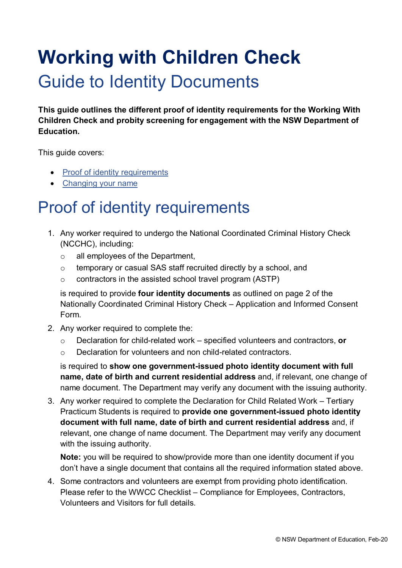# **Working with Children Check**

### Guide to Identity Documents

**This guide outlines the different proof of identity requirements for the Working With Children Check and probity screening for engagement with the NSW Department of Education.**

This guide covers:

- [Proof of identity requirements](#page-0-0)
- [Changing your name](#page-1-0)

#### <span id="page-0-0"></span>Proof of identity requirements

- 1. Any worker required to undergo the National Coordinated Criminal History Check (NCCHC), including:
	- o all employees of the Department,
	- o temporary or casual SAS staff recruited directly by a school, and
	- $\circ$  contractors in the assisted school travel program (ASTP)

is required to provide **four identity documents** as outlined on page 2 of the Nationally Coordinated Criminal History Check – Application and Informed Consent Form.

- 2. Any worker required to complete the:
	- o Declaration for child-related work specified volunteers and contractors, **or**
	- o Declaration for volunteers and non child-related contractors.

is required to **show one government-issued photo identity document with full name, date of birth and current residential address** and, if relevant, one change of name document. The Department may verify any document with the issuing authority.

3. Any worker required to complete the Declaration for Child Related Work – Tertiary Practicum Students is required to **provide one government-issued photo identity document with full name, date of birth and current residential address** and, if relevant, one change of name document. The Department may verify any document with the issuing authority.

**Note:** you will be required to show/provide more than one identity document if you don't have a single document that contains all the required information stated above.

4. Some contractors and volunteers are exempt from providing photo identification. Please refer to the WWCC Checklist – Compliance for Employees, Contractors, Volunteers and Visitors for full details.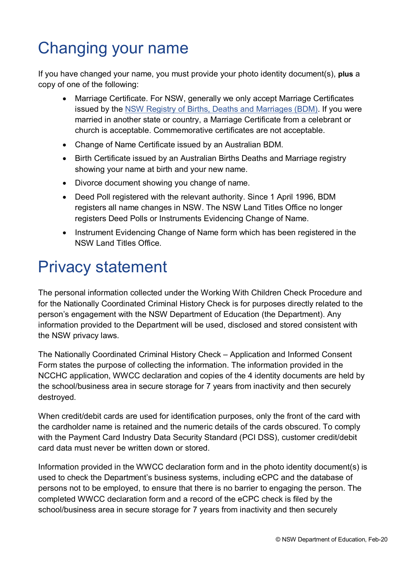## <span id="page-1-0"></span>Changing your name

If you have changed your name, you must provide your photo identity document(s), **plus** a copy of one of the following:

- Marriage Certificate. For NSW, generally we only accept Marriage Certificates issued by the [NSW Registry of Births, Deaths and Marriages \(BDM\).](http://www.bdm.nsw.gov.au/) If you were married in another state or country, a Marriage Certificate from a celebrant or church is acceptable. Commemorative certificates are not acceptable.
- Change of Name Certificate issued by an Australian BDM.
- Birth Certificate issued by an Australian Births Deaths and Marriage registry showing your name at birth and your new name.
- Divorce document showing you change of name.
- Deed Poll registered with the relevant authority. Since 1 April 1996, BDM registers all name changes in NSW. The NSW Land Titles Office no longer registers Deed Polls or Instruments Evidencing Change of Name.
- Instrument Evidencing Change of Name form which has been registered in the NSW Land Titles Office.

#### Privacy statement

The personal information collected under the Working With Children Check Procedure and for the Nationally Coordinated Criminal History Check is for purposes directly related to the person's engagement with the NSW Department of Education (the Department). Any information provided to the Department will be used, disclosed and stored consistent with the NSW privacy laws.

The Nationally Coordinated Criminal History Check – Application and Informed Consent Form states the purpose of collecting the information. The information provided in the NCCHC application, WWCC declaration and copies of the 4 identity documents are held by the school/business area in secure storage for 7 years from inactivity and then securely destroyed.

When credit/debit cards are used for identification purposes, only the front of the card with the cardholder name is retained and the numeric details of the cards obscured. To comply with the Payment Card Industry Data Security Standard (PCI DSS), customer credit/debit card data must never be written down or stored.

Information provided in the WWCC declaration form and in the photo identity document(s) is used to check the Department's business systems, including eCPC and the database of persons not to be employed, to ensure that there is no barrier to engaging the person. The completed WWCC declaration form and a record of the eCPC check is filed by the school/business area in secure storage for 7 years from inactivity and then securely